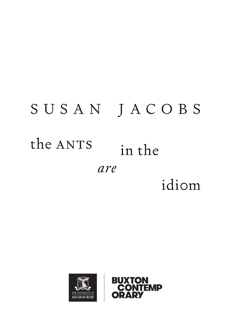# SUSAN JACOBS the ANTS in the are idiom



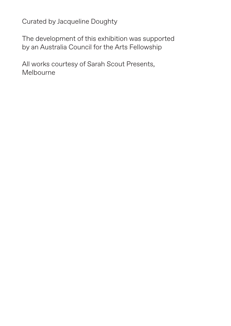Curated by Jacqueline Doughty

The development of this exhibition was supported by an Australia Council for the Arts Fellowship

All works courtesy of Sarah Scout Presents, Melbourne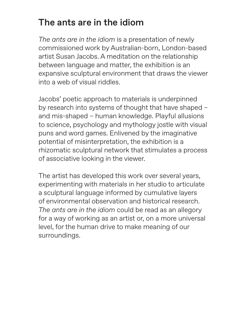## The ants are in the idiom

*The ants are in the idiom* is a presentation of newly commissioned work by Australian-born, London-based artist Susan Jacobs. A meditation on the relationship between language and matter, the exhibition is an expansive sculptural environment that draws the viewer into a web of visual riddles.

Jacobs' poetic approach to materials is underpinned by research into systems of thought that have shaped – and mis-shaped – human knowledge. Playful allusions to science, psychology and mythology jostle with visual puns and word games. Enlivened by the imaginative potential of misinterpretation, the exhibition is a rhizomatic sculptural network that stimulates a process of associative looking in the viewer.

The artist has developed this work over several years, experimenting with materials in her studio to articulate a sculptural language informed by cumulative layers of environmental observation and historical research. *The ants are in the idiom* could be read as an allegory for a way of working as an artist or, on a more universal level, for the human drive to make meaning of our surroundings.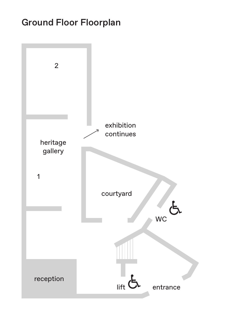## Ground Floor Floorplan

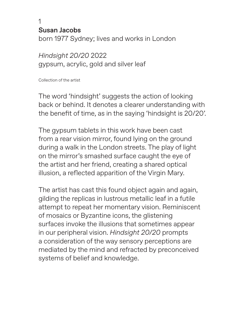1 Susan Jacobs

born 1977 Sydney; lives and works in London

*Hindsight 20/20* 2022 gypsum, acrylic, gold and silver leaf

Collection of the artist

The word 'hindsight' suggests the action of looking back or behind. It denotes a clearer understanding with the benefit of time, as in the saying 'hindsight is 20/20'.

The gypsum tablets in this work have been cast from a rear vision mirror, found lying on the ground during a walk in the London streets. The play of light on the mirror's smashed surface caught the eye of the artist and her friend, creating a shared optical illusion, a reflected apparition of the Virgin Mary.

The artist has cast this found object again and again, gilding the replicas in lustrous metallic leaf in a futile attempt to repeat her momentary vision. Reminiscent of mosaics or Byzantine icons, the glistening surfaces invoke the illusions that sometimes appear in our peripheral vision. *Hindsight 20/20* prompts a consideration of the way sensory perceptions are mediated by the mind and refracted by preconceived systems of belief and knowledge.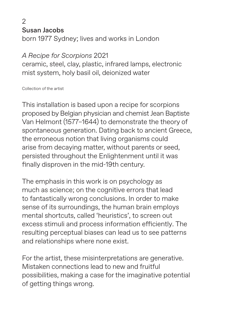$\overline{2}$ Susan Jacobs

born 1977 Sydney; lives and works in London

#### *A Recipe for Scorpions* 2021

ceramic, steel, clay, plastic, infrared lamps, electronic mist system, holy basil oil, deionized water

Collection of the artist

This installation is based upon a recipe for scorpions proposed by Belgian physician and chemist Jean Baptiste Van Helmont (1577–1644) to demonstrate the theory of spontaneous generation. Dating back to ancient Greece, the erroneous notion that living organisms could arise from decaying matter, without parents or seed, persisted throughout the Enlightenment until it was finally disproven in the mid-19th century.

The emphasis in this work is on psychology as much as science; on the cognitive errors that lead to fantastically wrong conclusions. In order to make sense of its surroundings, the human brain employs mental shortcuts, called 'heuristics', to screen out excess stimuli and process information efficiently. The resulting perceptual biases can lead us to see patterns and relationships where none exist.

For the artist, these misinterpretations are generative. Mistaken connections lead to new and fruitful possibilities, making a case for the imaginative potential of getting things wrong.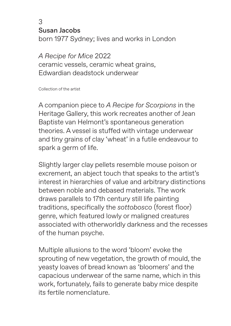3

Susan Jacobs

born 1977 Sydney; lives and works in London

*A Recipe for Mice* 2022 ceramic vessels, ceramic wheat grains, Edwardian deadstock underwear

Collection of the artist

A companion piece to *A Recipe for Scorpions* in the Heritage Gallery, this work recreates another of Jean Baptiste van Helmont's spontaneous generation theories. A vessel is stuffed with vintage underwear and tiny grains of clay 'wheat' in a futile endeavour to spark a germ of life.

Slightly larger clay pellets resemble mouse poison or excrement, an abject touch that speaks to the artist's interest in hierarchies of value and arbitrary distinctions between noble and debased materials. The work draws parallels to 17th century still life painting traditions, specifically the *sottobosco* (forest floor) genre, which featured lowly or maligned creatures associated with otherworldly darkness and the recesses of the human psyche.

Multiple allusions to the word 'bloom' evoke the sprouting of new vegetation, the growth of mould, the yeasty loaves of bread known as 'bloomers' and the capacious underwear of the same name, which in this work, fortunately, fails to generate baby mice despite its fertile nomenclature.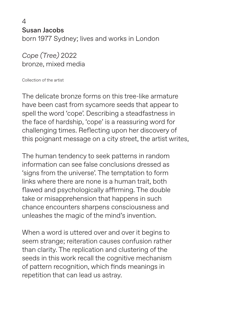4 Susan Jacobs born 1977 Sydney; lives and works in London

*Cope (Tree)* 2022 bronze, mixed media

Collection of the artist

The delicate bronze forms on this tree-like armature have been cast from sycamore seeds that appear to spell the word 'cope'. Describing a steadfastness in the face of hardship, 'cope' is a reassuring word for challenging times. Reflecting upon her discovery of this poignant message on a city street, the artist writes,

The human tendency to seek patterns in random information can see false conclusions dressed as 'signs from the universe'. The temptation to form links where there are none is a human trait, both flawed and psychologically affirming. The double take or misapprehension that happens in such chance encounters sharpens consciousness and unleashes the magic of the mind's invention.

When a word is uttered over and over it begins to seem strange; reiteration causes confusion rather than clarity. The replication and clustering of the seeds in this work recall the cognitive mechanism of pattern recognition, which finds meanings in repetition that can lead us astray.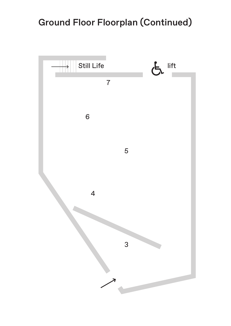## Ground Floor Floorplan (Continued)

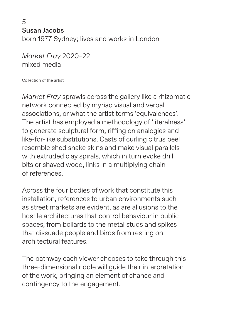5 Susan Jacobs born 1977 Sydney; lives and works in London

*Market Fray* 2020–22 mixed media

Collection of the artist

*Market Fray* sprawls across the gallery like a rhizomatic network connected by myriad visual and verbal associations, or what the artist terms 'equivalences'. The artist has employed a methodology of 'literalness' to generate sculptural form, riffing on analogies and like-for-like substitutions. Casts of curling citrus peel resemble shed snake skins and make visual parallels with extruded clay spirals, which in turn evoke drill bits or shaved wood, links in a multiplying chain of references.

Across the four bodies of work that constitute this installation, references to urban environments such as street markets are evident, as are allusions to the hostile architectures that control behaviour in public spaces, from bollards to the metal studs and spikes that dissuade people and birds from resting on architectural features.

The pathway each viewer chooses to take through this three-dimensional riddle will guide their interpretation of the work, bringing an element of chance and contingency to the engagement.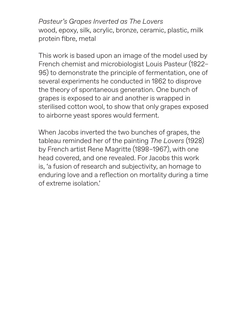*Pasteur's Grapes Inverted as The Lovers* wood, epoxy, silk, acrylic, bronze, ceramic, plastic, milk protein fibre, metal

This work is based upon an image of the model used by French chemist and microbiologist Louis Pasteur (1822– 95) to demonstrate the principle of fermentation, one of several experiments he conducted in 1862 to disprove the theory of spontaneous generation. One bunch of grapes is exposed to air and another is wrapped in sterilised cotton wool, to show that only grapes exposed to airborne yeast spores would ferment.

When Jacobs inverted the two bunches of grapes, the tableau reminded her of the painting *The Lovers* (1928) by French artist Rene Magritte (1898–1967), with one head covered, and one revealed. For Jacobs this work is, 'a fusion of research and subjectivity, an homage to enduring love and a reflection on mortality during a time of extreme isolation.'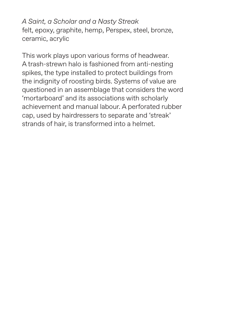*A Saint, a Scholar and a Nasty Streak* felt, epoxy, graphite, hemp, Perspex, steel, bronze, ceramic, acrylic

This work plays upon various forms of headwear. A trash-strewn halo is fashioned from anti-nesting spikes, the type installed to protect buildings from the indignity of roosting birds. Systems of value are questioned in an assemblage that considers the word 'mortarboard' and its associations with scholarly achievement and manual labour. A perforated rubber cap, used by hairdressers to separate and 'streak' strands of hair, is transformed into a helmet.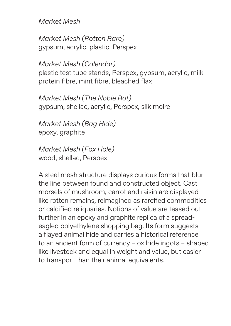*Market Mesh*

*Market Mesh (Rotten Rare)* gypsum, acrylic, plastic, Perspex

*Market Mesh (Calendar)* plastic test tube stands, Perspex, gypsum, acrylic, milk protein fibre, mint fibre, bleached flax

*Market Mesh (The Noble Rot)* gypsum, shellac, acrylic, Perspex, silk moire

*Market Mesh (Bag Hide)* epoxy, graphite

*Market Mesh (Fox Hole)* wood, shellac, Perspex

A steel mesh structure displays curious forms that blur the line between found and constructed object. Cast morsels of mushroom, carrot and raisin are displayed like rotten remains, reimagined as rarefied commodities or calcified reliquaries. Notions of value are teased out further in an epoxy and graphite replica of a spreadeagled polyethylene shopping bag. Its form suggests a flayed animal hide and carries a historical reference to an ancient form of currency – ox hide ingots – shaped like livestock and equal in weight and value, but easier to transport than their animal equivalents.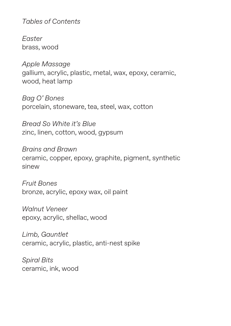*Tables of Contents*

*Easter* brass, wood

*Apple Massage* gallium, acrylic, plastic, metal, wax, epoxy, ceramic, wood, heat lamp

*Bag O' Bones* porcelain, stoneware, tea, steel, wax, cotton

*Bread So White it's Blue* zinc, linen, cotton, wood, gypsum

*Brains and Brawn* ceramic, copper, epoxy, graphite, pigment, synthetic sinew

*Fruit Bones* bronze, acrylic, epoxy wax, oil paint

*Walnut Veneer* epoxy, acrylic, shellac, wood

*Limb, Gauntlet* ceramic, acrylic, plastic, anti-nest spike

*Spiral Bits*  ceramic, ink, wood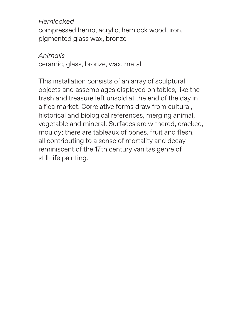*Hemlocked* compressed hemp, acrylic, hemlock wood, iron, pigmented glass wax, bronze

*Animalls* ceramic, glass, bronze, wax, metal

This installation consists of an array of sculptural objects and assemblages displayed on tables, like the trash and treasure left unsold at the end of the day in a flea market. Correlative forms draw from cultural, historical and biological references, merging animal, vegetable and mineral. Surfaces are withered, cracked, mouldy; there are tableaux of bones, fruit and flesh, all contributing to a sense of mortality and decay reminiscent of the 17th century vanitas genre of still-life painting.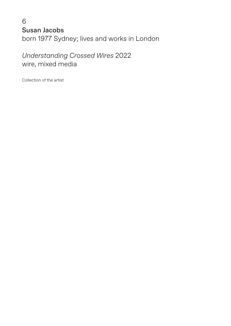### 6 Susan Jacobs born 1977 Sydney; lives and works in London

*Understanding Crossed Wires* 2022 wire, mixed media

Collection of the artist